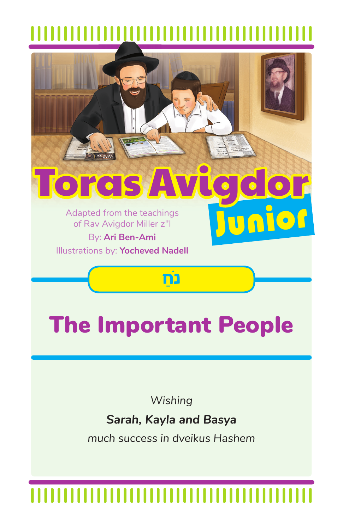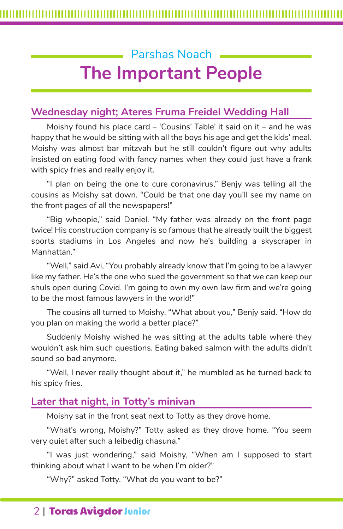# Parshas Noach **The Important People**

### **Wednesday night; Ateres Fruma Freidel Wedding Hall**

Moishy found his place card – 'Cousins' Table' it said on it – and he was happy that he would be sitting with all the boys his age and get the kids' meal. Moishy was almost bar mitzvah but he still couldn't figure out why adults insisted on eating food with fancy names when they could just have a frank with spicy fries and really enjoy it.

"I plan on being the one to cure coronavirus," Benjy was telling all the cousins as Moishy sat down. "Could be that one day you'll see my name on the front pages of all the newspapers!"

"Big whoopie," said Daniel. "My father was already on the front page twice! His construction company is so famous that he already built the biggest sports stadiums in Los Angeles and now he's building a skyscraper in Manhattan."

"Well," said Avi, "You probably already know that I'm going to be a lawyer like my father. He's the one who sued the government so that we can keep our shuls open during Covid. I'm going to own my own law firm and we're going to be the most famous lawyers in the world!"

The cousins all turned to Moishy. "What about you," Benjy said. "How do you plan on making the world a better place?"

Suddenly Moishy wished he was sitting at the adults table where they wouldn't ask him such questions. Eating baked salmon with the adults didn't sound so bad anymore.

"Well, I never really thought about it," he mumbled as he turned back to his spicy fries.

### **Later that night, in Totty's minivan**

Moishy sat in the front seat next to Totty as they drove home.

"What's wrong, Moishy?" Totty asked as they drove home. "You seem very quiet after such a leibedig chasuna."

"I was just wondering," said Moishy, "When am I supposed to start thinking about what I want to be when I'm older?"

"Why?" asked Totty. "What *do* you want to be?"

## 2 | Toras Avigdor Junior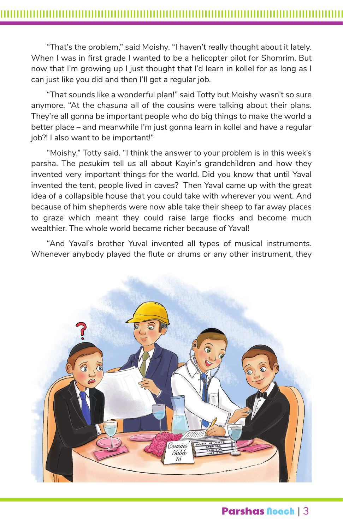"That's the problem," said Moishy. "I haven't really thought about it lately. When I was in first grade I wanted to be a helicopter pilot for Shomrim. But now that I'm growing up I just thought that I'd learn in kollel for as long as I can just like you did and then I'll get a regular job.

"That sounds like a wonderful plan!" said Totty but Moishy wasn't so sure anymore. "At the *chasuna* all of the cousins were talking about their plans. They're all gonna be important people who do big things to make the world a better place – and meanwhile I'm just gonna learn in kollel and have a regular job?! I also want to be important!"

"Moishy," Totty said. "I think the answer to your problem is in this week's parsha. The *pesukim* tell us all about Kayin's grandchildren and how they invented very important things for the world. Did you know that until Yaval invented the tent, people lived in caves? Then Yaval came up with the great idea of a collapsible house that you could take with wherever you went. And because of him shepherds were now able take their sheep to far away places to graze which meant they could raise large flocks and become much wealthier. The whole world became richer because of Yaval!

"And Yaval's brother Yuval invented all types of musical instruments. Whenever anybody played the flute or drums or any other instrument, they